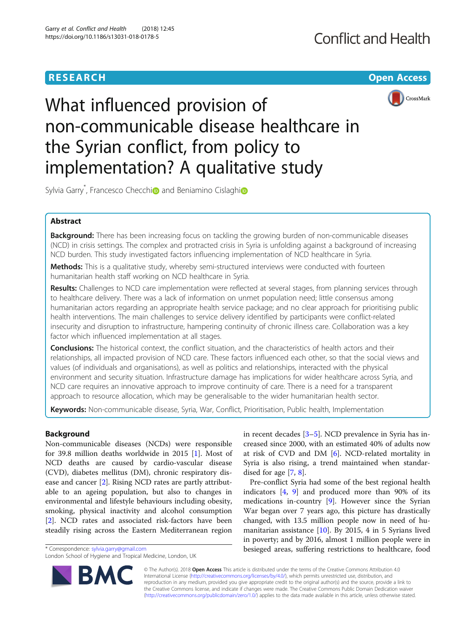# **RESEARCH CHE Open Access**



# What influenced provision of non-communicable disease healthcare in the Syrian conflict, from policy to implementation? A qualitative study

Sylv[i](http://orcid.org/0000-0002-6296-4644)a Garry<sup>\*</sup>, Francesco Checchi**o** and Beniamino Cislaghi

# Abstract

Background: There has been increasing focus on tackling the growing burden of non-communicable diseases (NCD) in crisis settings. The complex and protracted crisis in Syria is unfolding against a background of increasing NCD burden. This study investigated factors influencing implementation of NCD healthcare in Syria.

Methods: This is a qualitative study, whereby semi-structured interviews were conducted with fourteen humanitarian health staff working on NCD healthcare in Syria.

Results: Challenges to NCD care implementation were reflected at several stages, from planning services through to healthcare delivery. There was a lack of information on unmet population need; little consensus among humanitarian actors regarding an appropriate health service package; and no clear approach for prioritising public health interventions. The main challenges to service delivery identified by participants were conflict-related insecurity and disruption to infrastructure, hampering continuity of chronic illness care. Collaboration was a key factor which influenced implementation at all stages.

Conclusions: The historical context, the conflict situation, and the characteristics of health actors and their relationships, all impacted provision of NCD care. These factors influenced each other, so that the social views and values (of individuals and organisations), as well as politics and relationships, interacted with the physical environment and security situation. Infrastructure damage has implications for wider healthcare across Syria, and NCD care requires an innovative approach to improve continuity of care. There is a need for a transparent approach to resource allocation, which may be generalisable to the wider humanitarian health sector.

Keywords: Non-communicable disease, Syria, War, Conflict, Prioritisation, Public health, Implementation

# Background

Non-communicable diseases (NCDs) were responsible for 39.8 million deaths worldwide in 2015 [[1\]](#page-8-0). Most of NCD deaths are caused by cardio-vascular disease (CVD), diabetes mellitus (DM), chronic respiratory disease and cancer [\[2](#page-8-0)]. Rising NCD rates are partly attributable to an ageing population, but also to changes in environmental and lifestyle behaviours including obesity, smoking, physical inactivity and alcohol consumption [[2\]](#page-8-0). NCD rates and associated risk-factors have been steadily rising across the Eastern Mediterranean region

BA



Pre-conflict Syria had some of the best regional health indicators [\[4](#page-8-0), [9\]](#page-8-0) and produced more than 90% of its medications in-country [\[9\]](#page-8-0). However since the Syrian War began over 7 years ago, this picture has drastically changed, with 13.5 million people now in need of humanitarian assistance [[10](#page-8-0)]. By 2015, 4 in 5 Syrians lived in poverty; and by 2016, almost 1 million people were in \* Correspondence: [sylvia.garry@gmail.com](mailto:sylvia.garry@gmail.com) besieged areas, suffering restrictions to healthcare, food

> © The Author(s). 2018 Open Access This article is distributed under the terms of the Creative Commons Attribution 4.0 International License [\(http://creativecommons.org/licenses/by/4.0/](http://creativecommons.org/licenses/by/4.0/)), which permits unrestricted use, distribution, and reproduction in any medium, provided you give appropriate credit to the original author(s) and the source, provide a link to the Creative Commons license, and indicate if changes were made. The Creative Commons Public Domain Dedication waiver [\(http://creativecommons.org/publicdomain/zero/1.0/](http://creativecommons.org/publicdomain/zero/1.0/)) applies to the data made available in this article, unless otherwise stated.

London School of Hygiene and Tropical Medicine, London, UK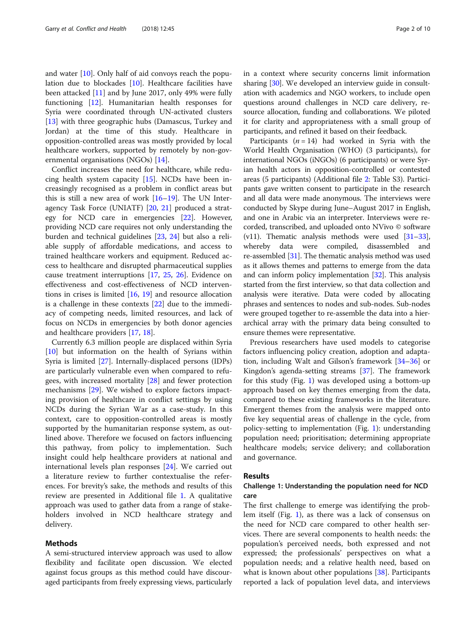and water [\[10](#page-8-0)]. Only half of aid convoys reach the population due to blockades [\[10\]](#page-8-0). Healthcare facilities have been attacked [[11\]](#page-8-0) and by June 2017, only 49% were fully functioning [[12\]](#page-8-0). Humanitarian health responses for Syria were coordinated through UN-activated clusters [[13\]](#page-8-0) with three geographic hubs (Damascus, Turkey and Jordan) at the time of this study. Healthcare in opposition-controlled areas was mostly provided by local healthcare workers, supported by remotely by non-governmental organisations (NGOs) [[14\]](#page-8-0).

Conflict increases the need for healthcare, while reducing health system capacity [[15\]](#page-8-0). NCDs have been increasingly recognised as a problem in conflict areas but this is still a new area of work  $[16–19]$  $[16–19]$  $[16–19]$  $[16–19]$  $[16–19]$ . The UN Interagency Task Force (UNIATF) [\[20,](#page-8-0) [21\]](#page-8-0) produced a strategy for NCD care in emergencies [\[22](#page-8-0)]. However, providing NCD care requires not only understanding the burden and technical guidelines [\[23](#page-9-0), [24\]](#page-9-0) but also a reliable supply of affordable medications, and access to trained healthcare workers and equipment. Reduced access to healthcare and disrupted pharmaceutical supplies cause treatment interruptions [\[17,](#page-8-0) [25](#page-9-0), [26](#page-9-0)]. Evidence on effectiveness and cost-effectiveness of NCD interventions in crises is limited [\[16](#page-8-0), [19\]](#page-8-0) and resource allocation is a challenge in these contexts [[22\]](#page-8-0) due to the immediacy of competing needs, limited resources, and lack of focus on NCDs in emergencies by both donor agencies and healthcare providers [[17,](#page-8-0) [18\]](#page-8-0).

Currently 6.3 million people are displaced within Syria [[10\]](#page-8-0) but information on the health of Syrians within Syria is limited [\[27](#page-9-0)]. Internally-displaced persons (IDPs) are particularly vulnerable even when compared to refugees, with increased mortality [\[28](#page-9-0)] and fewer protection mechanisms [[29\]](#page-9-0). We wished to explore factors impacting provision of healthcare in conflict settings by using NCDs during the Syrian War as a case-study. In this context, care to opposition-controlled areas is mostly supported by the humanitarian response system, as outlined above. Therefore we focused on factors influencing this pathway, from policy to implementation. Such insight could help healthcare providers at national and international levels plan responses [\[24](#page-9-0)]. We carried out a literature review to further contextualise the references. For brevity's sake, the methods and results of this review are presented in Additional file [1](#page-8-0). A qualitative approach was used to gather data from a range of stakeholders involved in NCD healthcare strategy and delivery.

#### Methods

A semi-structured interview approach was used to allow flexibility and facilitate open discussion. We elected against focus groups as this method could have discouraged participants from freely expressing views, particularly in a context where security concerns limit information sharing [\[30\]](#page-9-0). We developed an interview guide in consultation with academics and NGO workers, to include open questions around challenges in NCD care delivery, resource allocation, funding and collaborations. We piloted it for clarity and appropriateness with a small group of participants, and refined it based on their feedback.

Participants  $(n = 14)$  had worked in Syria with the World Health Organisation (WHO) (3 participants), for international NGOs (iNGOs) (6 participants) or were Syrian health actors in opposition-controlled or contested areas (5 participants) (Additional file [2](#page-8-0): Table S3). Participants gave written consent to participate in the research and all data were made anonymous. The interviews were conducted by Skype during June–August 2017 in English, and one in Arabic via an interpreter. Interviews were recorded, transcribed, and uploaded onto NVivo © software (v11). Thematic analysis methods were used  $[31-33]$  $[31-33]$  $[31-33]$  $[31-33]$ , whereby data were compiled, disassembled and re-assembled [[31\]](#page-9-0). The thematic analysis method was used as it allows themes and patterns to emerge from the data and can inform policy implementation [\[32](#page-9-0)]. This analysis started from the first interview, so that data collection and analysis were iterative. Data were coded by allocating phrases and sentences to nodes and sub-nodes. Sub-nodes were grouped together to re-assemble the data into a hierarchical array with the primary data being consulted to ensure themes were representative.

Previous researchers have used models to categorise factors influencing policy creation, adoption and adaptation, including Walt and Gilson's framework [\[34](#page-9-0)–[36\]](#page-9-0) or Kingdon's agenda-setting streams [\[37](#page-9-0)]. The framework for this study (Fig. [1\)](#page-2-0) was developed using a bottom-up approach based on key themes emerging from the data, compared to these existing frameworks in the literature. Emergent themes from the analysis were mapped onto five key sequential areas of challenge in the cycle, from policy-setting to implementation (Fig. [1\)](#page-2-0): understanding population need; prioritisation; determining appropriate healthcare models; service delivery; and collaboration and governance.

#### Results

# Challenge 1: Understanding the population need for NCD care

The first challenge to emerge was identifying the problem itself (Fig. [1\)](#page-2-0), as there was a lack of consensus on the need for NCD care compared to other health services. There are several components to health needs: the population's perceived needs, both expressed and not expressed; the professionals' perspectives on what a population needs; and a relative health need, based on what is known about other populations  $[38]$ . Participants reported a lack of population level data, and interviews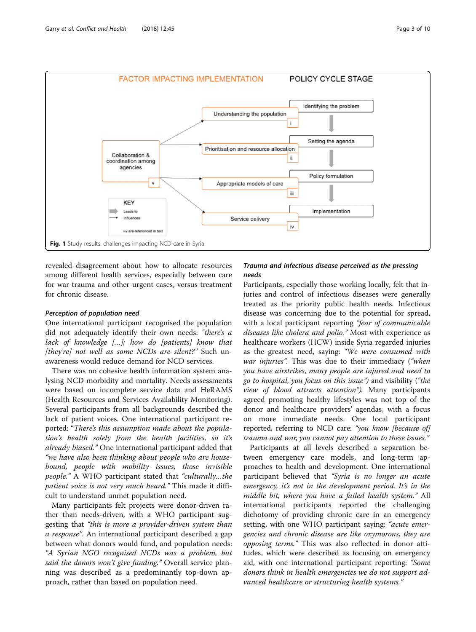<span id="page-2-0"></span>

revealed disagreement about how to allocate resources among different health services, especially between care for war trauma and other urgent cases, versus treatment for chronic disease.

# Perception of population need

One international participant recognised the population did not adequately identify their own needs: "there's a lack of knowledge […]; how do [patients] know that [they're] not well as some NCDs are silent?" Such unawareness would reduce demand for NCD services.

There was no cohesive health information system analysing NCD morbidity and mortality. Needs assessments were based on incomplete service data and HeRAMS (Health Resources and Services Availability Monitoring). Several participants from all backgrounds described the lack of patient voices. One international participant reported: "There's this assumption made about the population's health solely from the health facilities, so it's already biased." One international participant added that "we have also been thinking about people who are housebound, people with mobility issues, those invisible people." A WHO participant stated that "culturally…the patient voice is not very much heard." This made it difficult to understand unmet population need.

Many participants felt projects were donor-driven rather than needs-driven, with a WHO participant suggesting that "this is more a provider-driven system than a response". An international participant described a gap between what donors would fund, and population needs: "A Syrian NGO recognised NCDs was a problem, but said the donors won't give funding." Overall service planning was described as a predominantly top-down approach, rather than based on population need.

# Trauma and infectious disease perceived as the pressing needs

Participants, especially those working locally, felt that injuries and control of infectious diseases were generally treated as the priority public health needs. Infectious disease was concerning due to the potential for spread, with a local participant reporting "fear of communicable diseases like cholera and polio." Most with experience as healthcare workers (HCW) inside Syria regarded injuries as the greatest need, saying: "We were consumed with war injuries". This was due to their immediacy ("when you have airstrikes, many people are injured and need to go to hospital, you focus on this issue") and visibility ("the view of blood attracts attention"). Many participants agreed promoting healthy lifestyles was not top of the donor and healthcare providers' agendas, with a focus on more immediate needs. One local participant reported, referring to NCD care: "you know [because of] trauma and war, you cannot pay attention to these issues."

Participants at all levels described a separation between emergency care models, and long-term approaches to health and development. One international participant believed that "Syria is no longer an acute emergency, it's not in the development period. It's in the middle bit, where you have a failed health system." All international participants reported the challenging dichotomy of providing chronic care in an emergency setting, with one WHO participant saying: "*acute emer*gencies and chronic disease are like oxymorons, they are opposing terms." This was also reflected in donor attitudes, which were described as focusing on emergency aid, with one international participant reporting: "Some donors think in health emergencies we do not support advanced healthcare or structuring health systems."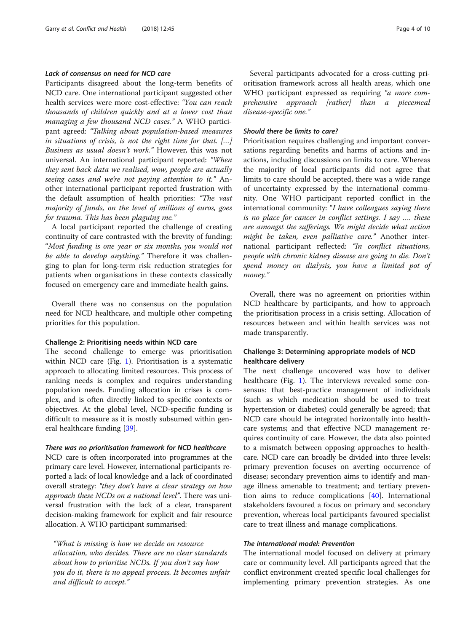### Lack of consensus on need for NCD care

Participants disagreed about the long-term benefits of NCD care. One international participant suggested other health services were more cost-effective: "You can reach thousands of children quickly and at a lower cost than managing a few thousand NCD cases." A WHO participant agreed: "Talking about population-based measures in situations of crisis, is not the right time for that. […] Business as usual doesn't work." However, this was not universal. An international participant reported: "When they sent back data we realised, wow, people are actually seeing cases and we're not paying attention to it." Another international participant reported frustration with the default assumption of health priorities: "The vast majority of funds, on the level of millions of euros, goes for trauma. This has been plaguing me."

A local participant reported the challenge of creating continuity of care contrasted with the brevity of funding: "Most funding is one year or six months, you would not be able to develop anything." Therefore it was challenging to plan for long-term risk reduction strategies for patients when organisations in these contexts classically focused on emergency care and immediate health gains.

Overall there was no consensus on the population need for NCD healthcare, and multiple other competing priorities for this population.

#### Challenge 2: Prioritising needs within NCD care

The second challenge to emerge was prioritisation within NCD care (Fig. [1](#page-2-0)). Prioritisation is a systematic approach to allocating limited resources. This process of ranking needs is complex and requires understanding population needs. Funding allocation in crises is complex, and is often directly linked to specific contexts or objectives. At the global level, NCD-specific funding is difficult to measure as it is mostly subsumed within general healthcare funding [\[39](#page-9-0)].

#### There was no prioritisation framework for NCD healthcare

NCD care is often incorporated into programmes at the primary care level. However, international participants reported a lack of local knowledge and a lack of coordinated overall strategy: "they don't have a clear strategy on how approach these NCDs on a national level". There was universal frustration with the lack of a clear, transparent decision-making framework for explicit and fair resource allocation. A WHO participant summarised:

"What is missing is how we decide on resource allocation, who decides. There are no clear standards about how to prioritise NCDs. If you don't say how you do it, there is no appeal process. It becomes unfair and difficult to accept."

Several participants advocated for a cross-cutting prioritisation framework across all health areas, which one WHO participant expressed as requiring "*a more com*prehensive approach [rather] than a piecemeal disease-specific one."

#### Should there be limits to care?

Prioritisation requires challenging and important conversations regarding benefits and harms of actions and inactions, including discussions on limits to care. Whereas the majority of local participants did not agree that limits to care should be accepted, there was a wide range of uncertainty expressed by the international community. One WHO participant reported conflict in the international community: "I have colleagues saying there is no place for cancer in conflict settings. I say …. these are amongst the sufferings. We might decide what action might be taken, even palliative care." Another international participant reflected: "In conflict situations, people with chronic kidney disease are going to die. Don't spend money on dialysis, you have a limited pot of money."

Overall, there was no agreement on priorities within NCD healthcare by participants, and how to approach the prioritisation process in a crisis setting. Allocation of resources between and within health services was not made transparently.

# Challenge 3: Determining appropriate models of NCD healthcare delivery

The next challenge uncovered was how to deliver healthcare (Fig. [1\)](#page-2-0). The interviews revealed some consensus: that best-practice management of individuals (such as which medication should be used to treat hypertension or diabetes) could generally be agreed; that NCD care should be integrated horizontally into healthcare systems; and that effective NCD management requires continuity of care. However, the data also pointed to a mismatch between opposing approaches to healthcare. NCD care can broadly be divided into three levels: primary prevention focuses on averting occurrence of disease; secondary prevention aims to identify and manage illness amenable to treatment; and tertiary prevention aims to reduce complications [[40\]](#page-9-0). International stakeholders favoured a focus on primary and secondary prevention, whereas local participants favoured specialist care to treat illness and manage complications.

# The international model: Prevention

The international model focused on delivery at primary care or community level. All participants agreed that the conflict environment created specific local challenges for implementing primary prevention strategies. As one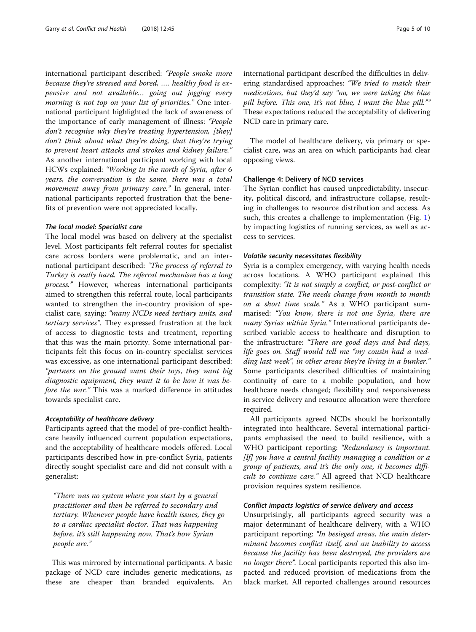international participant described: "People smoke more because they're stressed and bored, …. healthy food is expensive and not available… going out jogging every morning is not top on your list of priorities." One international participant highlighted the lack of awareness of the importance of early management of illness: "People don't recognise why they're treating hypertension, [they] don't think about what they're doing, that they're trying to prevent heart attacks and strokes and kidney failure." As another international participant working with local HCWs explained: "Working in the north of Syria, after 6 years, the conversation is the same, there was a total movement away from primary care." In general, international participants reported frustration that the benefits of prevention were not appreciated locally.

#### The local model: Specialist care

The local model was based on delivery at the specialist level. Most participants felt referral routes for specialist care across borders were problematic, and an international participant described: "The process of referral to Turkey is really hard. The referral mechanism has a long process." However, whereas international participants aimed to strengthen this referral route, local participants wanted to strengthen the in-country provision of specialist care, saying: "many NCDs need tertiary units, and tertiary services". They expressed frustration at the lack of access to diagnostic tests and treatment, reporting that this was the main priority. Some international participants felt this focus on in-country specialist services was excessive, as one international participant described: "partners on the ground want their toys, they want big diagnostic equipment, they want it to be how it was before the war." This was a marked difference in attitudes towards specialist care.

#### Acceptability of healthcare delivery

Participants agreed that the model of pre-conflict healthcare heavily influenced current population expectations, and the acceptability of healthcare models offered. Local participants described how in pre-conflict Syria, patients directly sought specialist care and did not consult with a generalist:

"There was no system where you start by a general practitioner and then be referred to secondary and tertiary. Whenever people have health issues, they go to a cardiac specialist doctor. That was happening before, it's still happening now. That's how Syrian people are."

This was mirrored by international participants. A basic package of NCD care includes generic medications, as these are cheaper than branded equivalents. An international participant described the difficulties in delivering standardised approaches: "We tried to match their medications, but they'd say "no, we were taking the blue pill before. This one, it's not blue, I want the blue pill."" These expectations reduced the acceptability of delivering NCD care in primary care.

The model of healthcare delivery, via primary or specialist care, was an area on which participants had clear opposing views.

#### Challenge 4: Delivery of NCD services

The Syrian conflict has caused unpredictability, insecurity, political discord, and infrastructure collapse, resulting in challenges to resource distribution and access. As such, this creates a challenge to implementation (Fig. [1](#page-2-0)) by impacting logistics of running services, as well as access to services.

#### Volatile security necessitates flexibility

Syria is a complex emergency, with varying health needs across locations. A WHO participant explained this complexity: "It is not simply a conflict, or post-conflict or transition state. The needs change from month to month on a short time scale." As a WHO participant summarised: "You know, there is not one Syria, there are many Syrias within Syria." International participants described variable access to healthcare and disruption to the infrastructure: "There are good days and bad days, life goes on. Staff would tell me "my cousin had a wedding last week", in other areas they're living in a bunker." Some participants described difficulties of maintaining continuity of care to a mobile population, and how healthcare needs changed; flexibility and responsiveness in service delivery and resource allocation were therefore required.

All participants agreed NCDs should be horizontally integrated into healthcare. Several international participants emphasised the need to build resilience, with a WHO participant reporting: "Redundancy is important. [If] you have a central facility managing a condition or a group of patients, and it's the only one, it becomes difficult to continue care." All agreed that NCD healthcare provision requires system resilience.

#### Conflict impacts logistics of service delivery and access

Unsurprisingly, all participants agreed security was a major determinant of healthcare delivery, with a WHO participant reporting: "In besieged areas, the main determinant becomes conflict itself, and an inability to access because the facility has been destroyed, the providers are no longer there". Local participants reported this also impacted and reduced provision of medications from the black market. All reported challenges around resources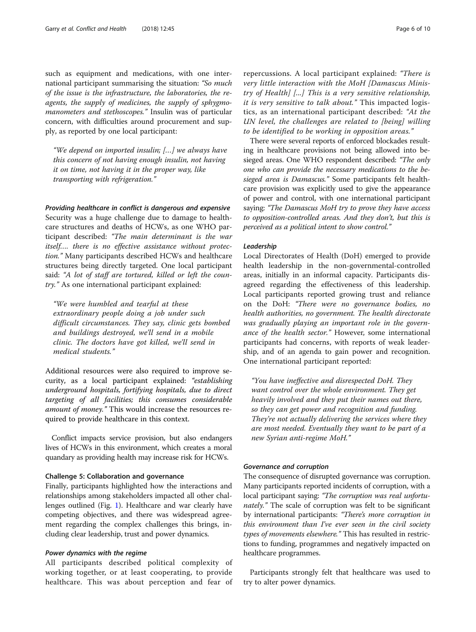such as equipment and medications, with one international participant summarising the situation: "So much of the issue is the infrastructure, the laboratories, the reagents, the supply of medicines, the supply of sphygmomanometers and stethoscopes." Insulin was of particular concern, with difficulties around procurement and supply, as reported by one local participant:

"We depend on imported insulin; […] we always have this concern of not having enough insulin, not having it on time, not having it in the proper way, like transporting with refrigeration."

Providing healthcare in conflict is dangerous and expensive Security was a huge challenge due to damage to healthcare structures and deaths of HCWs, as one WHO participant described: "The main determinant is the war itself…. there is no effective assistance without protection." Many participants described HCWs and healthcare structures being directly targeted. One local participant said: "A lot of staff are tortured, killed or left the country." As one international participant explained:

"We were humbled and tearful at these extraordinary people doing a job under such difficult circumstances. They say, clinic gets bombed and buildings destroyed, we'll send in a mobile clinic. The doctors have got killed, we'll send in medical students."

Additional resources were also required to improve security, as a local participant explained: "establishing underground hospitals, fortifying hospitals, due to direct targeting of all facilities; this consumes considerable amount of money." This would increase the resources required to provide healthcare in this context.

Conflict impacts service provision, but also endangers lives of HCWs in this environment, which creates a moral quandary as providing health may increase risk for HCWs.

#### Challenge 5: Collaboration and governance

Finally, participants highlighted how the interactions and relationships among stakeholders impacted all other challenges outlined (Fig. [1\)](#page-2-0). Healthcare and war clearly have competing objectives, and there was widespread agreement regarding the complex challenges this brings, including clear leadership, trust and power dynamics.

#### Power dynamics with the regime

All participants described political complexity of working together, or at least cooperating, to provide healthcare. This was about perception and fear of

repercussions. A local participant explained: "There is very little interaction with the MoH [Damascus Ministry of Health] [...] This is a very sensitive relationship, it is very sensitive to talk about." This impacted logistics, as an international participant described: "At the UN level, the challenges are related to [being] willing to be identified to be working in opposition areas."

There were several reports of enforced blockades resulting in healthcare provisions not being allowed into besieged areas. One WHO respondent described: "The only one who can provide the necessary medications to the besieged area is Damascus." Some participants felt healthcare provision was explicitly used to give the appearance of power and control, with one international participant saying: "The Damascus MoH try to prove they have access to opposition-controlled areas. And they don't, but this is perceived as a political intent to show control."

#### Leadership

Local Directorates of Health (DoH) emerged to provide health leadership in the non-governmental-controlled areas, initially in an informal capacity. Participants disagreed regarding the effectiveness of this leadership. Local participants reported growing trust and reliance on the DoH: "There were no governance bodies, no health authorities, no government. The health directorate was gradually playing an important role in the governance of the health sector." However, some international participants had concerns, with reports of weak leadership, and of an agenda to gain power and recognition. One international participant reported:

"You have ineffective and disrespected DoH. They want control over the whole environment. They get heavily involved and they put their names out there, so they can get power and recognition and funding. They're not actually delivering the services where they are most needed. Eventually they want to be part of a new Syrian anti-regime MoH."

#### Governance and corruption

The consequence of disrupted governance was corruption. Many participants reported incidents of corruption, with a local participant saying: "The corruption was real unfortunately." The scale of corruption was felt to be significant by international participants: "There's more corruption in this environment than I've ever seen in the civil society types of movements elsewhere." This has resulted in restrictions to funding, programmes and negatively impacted on healthcare programmes.

Participants strongly felt that healthcare was used to try to alter power dynamics.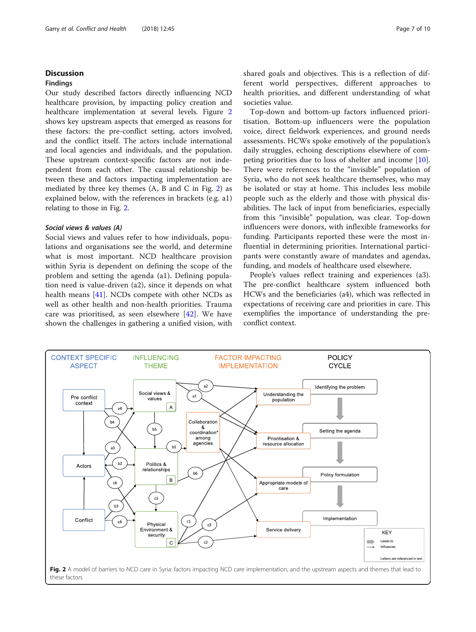### **Discussion**

# Findings

Our study described factors directly influencing NCD healthcare provision, by impacting policy creation and healthcare implementation at several levels. Figure 2 shows key upstream aspects that emerged as reasons for these factors: the pre-conflict setting, actors involved, and the conflict itself. The actors include international and local agencies and individuals, and the population. These upstream context-specific factors are not independent from each other. The causal relationship between these and factors impacting implementation are mediated by three key themes (A, B and C in Fig. 2) as explained below, with the references in brackets (e.g. a1) relating to those in Fig. 2.

#### Social views & values (A)

Social views and values refer to how individuals, populations and organisations see the world, and determine what is most important. NCD healthcare provision within Syria is dependent on defining the scope of the problem and setting the agenda (a1). Defining population need is value-driven (a2), since it depends on what health means [\[41](#page-9-0)]. NCDs compete with other NCDs as well as other health and non-health priorities. Trauma care was prioritised, as seen elsewhere [[42\]](#page-9-0). We have shown the challenges in gathering a unified vision, with shared goals and objectives. This is a reflection of different world perspectives, different approaches to health priorities, and different understanding of what societies value.

Top-down and bottom-up factors influenced prioritisation. Bottom-up influencers were the population voice, direct fieldwork experiences, and ground needs assessments. HCWs spoke emotively of the population's daily struggles, echoing descriptions elsewhere of competing priorities due to loss of shelter and income [\[10](#page-8-0)]. There were references to the "invisible" population of Syria, who do not seek healthcare themselves, who may be isolated or stay at home. This includes less mobile people such as the elderly and those with physical disabilities. The lack of input from beneficiaries, especially from this "invisible" population, was clear. Top-down influencers were donors, with inflexible frameworks for funding. Participants reported these were the most influential in determining priorities. International participants were constantly aware of mandates and agendas, funding, and models of healthcare used elsewhere.

People's values reflect training and experiences (a3). The pre-conflict healthcare system influenced both HCWs and the beneficiaries (a4), which was reflected in expectations of receiving care and priorities in care. This exemplifies the importance of understanding the preconflict context.

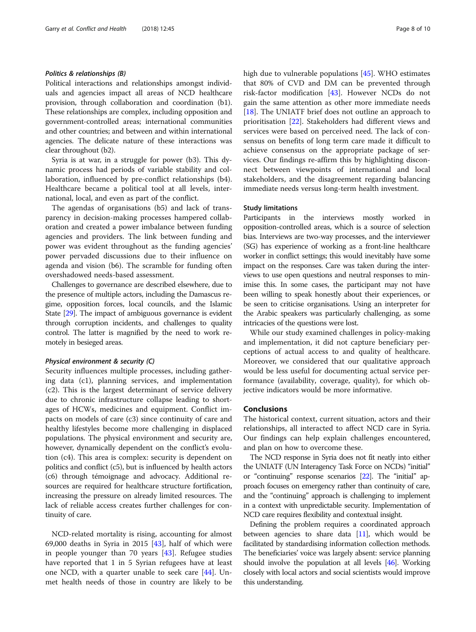#### Politics & relationships (B)

Political interactions and relationships amongst individuals and agencies impact all areas of NCD healthcare provision, through collaboration and coordination (b1). These relationships are complex, including opposition and government-controlled areas; international communities and other countries; and between and within international agencies. The delicate nature of these interactions was clear throughout (b2).

Syria is at war, in a struggle for power (b3). This dynamic process had periods of variable stability and collaboration, influenced by pre-conflict relationships (b4). Healthcare became a political tool at all levels, international, local, and even as part of the conflict.

The agendas of organisations (b5) and lack of transparency in decision-making processes hampered collaboration and created a power imbalance between funding agencies and providers. The link between funding and power was evident throughout as the funding agencies' power pervaded discussions due to their influence on agenda and vision (b6). The scramble for funding often overshadowed needs-based assessment.

Challenges to governance are described elsewhere, due to the presence of multiple actors, including the Damascus regime, opposition forces, local councils, and the Islamic State [\[29\]](#page-9-0). The impact of ambiguous governance is evident through corruption incidents, and challenges to quality control. The latter is magnified by the need to work remotely in besieged areas.

#### Physical environment & security (C)

Security influences multiple processes, including gathering data (c1), planning services, and implementation (c2). This is the largest determinant of service delivery due to chronic infrastructure collapse leading to shortages of HCWs, medicines and equipment. Conflict impacts on models of care (c3) since continuity of care and healthy lifestyles become more challenging in displaced populations. The physical environment and security are, however, dynamically dependent on the conflict's evolution (c4). This area is complex: security is dependent on politics and conflict (c5), but is influenced by health actors (c6) through témoignage and advocacy. Additional resources are required for healthcare structure fortification, increasing the pressure on already limited resources. The lack of reliable access creates further challenges for continuity of care.

NCD-related mortality is rising, accounting for almost 69,000 deaths in Syria in 2015 [[43](#page-9-0)], half of which were in people younger than 70 years  $[43]$  $[43]$ . Refugee studies have reported that 1 in 5 Syrian refugees have at least one NCD, with a quarter unable to seek care [\[44](#page-9-0)]. Unmet health needs of those in country are likely to be high due to vulnerable populations [\[45](#page-9-0)]. WHO estimates that 80% of CVD and DM can be prevented through risk-factor modification [\[43](#page-9-0)]. However NCDs do not gain the same attention as other more immediate needs [[18\]](#page-8-0). The UNIATF brief does not outline an approach to prioritisation [[22\]](#page-8-0). Stakeholders had different views and services were based on perceived need. The lack of consensus on benefits of long term care made it difficult to achieve consensus on the appropriate package of services. Our findings re-affirm this by highlighting disconnect between viewpoints of international and local stakeholders, and the disagreement regarding balancing immediate needs versus long-term health investment.

#### Study limitations

Participants in the interviews mostly worked in opposition-controlled areas, which is a source of selection bias. Interviews are two-way processes, and the interviewer (SG) has experience of working as a front-line healthcare worker in conflict settings; this would inevitably have some impact on the responses. Care was taken during the interviews to use open questions and neutral responses to minimise this. In some cases, the participant may not have been willing to speak honestly about their experiences, or be seen to criticise organisations. Using an interpreter for the Arabic speakers was particularly challenging, as some intricacies of the questions were lost.

While our study examined challenges in policy-making and implementation, it did not capture beneficiary perceptions of actual access to and quality of healthcare. Moreover, we considered that our qualitative approach would be less useful for documenting actual service performance (availability, coverage, quality), for which objective indicators would be more informative.

# Conclusions

The historical context, current situation, actors and their relationships, all interacted to affect NCD care in Syria. Our findings can help explain challenges encountered, and plan on how to overcome these.

The NCD response in Syria does not fit neatly into either the UNIATF (UN Interagency Task Force on NCDs) "initial" or "continuing" response scenarios [\[22](#page-8-0)]. The "initial" approach focuses on emergency rather than continuity of care, and the "continuing" approach is challenging to implement in a context with unpredictable security. Implementation of NCD care requires flexibility and contextual insight.

Defining the problem requires a coordinated approach between agencies to share data  $[11]$  $[11]$  $[11]$ , which would be facilitated by standardising information collection methods. The beneficiaries' voice was largely absent: service planning should involve the population at all levels [[46](#page-9-0)]. Working closely with local actors and social scientists would improve this understanding.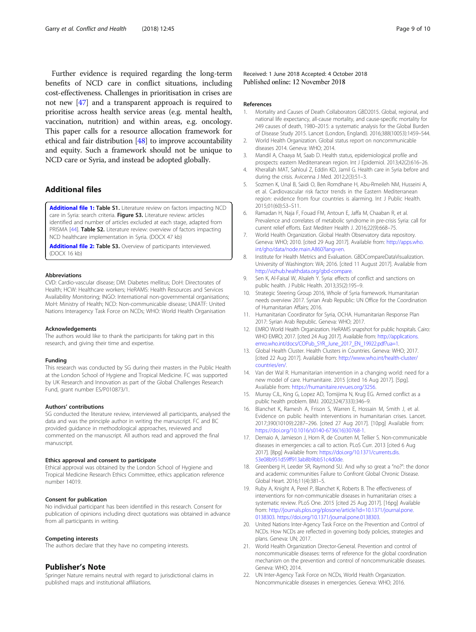<span id="page-8-0"></span>Further evidence is required regarding the long-term benefits of NCD care in conflict situations, including cost-effectiveness. Challenges in prioritisation in crises are not new [\[47\]](#page-9-0) and a transparent approach is required to prioritise across health service areas (e.g. mental health, vaccination, nutrition) and within areas, e.g. oncology. This paper calls for a resource allocation framework for ethical and fair distribution [\[48\]](#page-9-0) to improve accountability and equity. Such a framework should not be unique to NCD care or Syria, and instead be adopted globally.

# Additional files

[Additional file 1:](https://doi.org/10.1186/s13031-018-0178-5) Table S1. Literature review on factors impacting NCD care in Syria: search criteria. Figure S3. Literature review: articles identified and number of articles excluded at each stage, adapted from PRISMA [[44](#page-9-0)]. Table S2. Literature review: overview of factors impacting NCD healthcare implementation in Syria. (DOCX 47 kb)

[Additional file 2:](https://doi.org/10.1186/s13031-018-0178-5) Table S3. Overview of participants interviewed. (DOCX 16 kb)

#### Abbreviations

CVD: Cardio-vascular disease; DM: Diabetes mellitus; DoH: Directorates of Health; HCW: Healthcare workers; HeRAMS: Health Resources and Services Availability Monitoring; INGO: International non-governmental organisations; MoH: Ministry of Health; NCD: Non-communicable disease; UNIATF: United Nations Interagency Task Force on NCDs; WHO: World Health Organisation

#### Acknowledgements

The authors would like to thank the participants for taking part in this research, and giving their time and expertise.

#### Funding

This research was conducted by SG during their masters in the Public Health at the London School of Hygiene and Tropical Medicine. FC was supported by UK Research and Innovation as part of the Global Challenges Research Fund, grant number ES/P010873/1.

#### Authors' contributions

SG conducted the literature review, interviewed all participants, analysed the data and was the principle author in writing the manuscript. FC and BC provided guidance in methodological approaches, reviewed and commented on the manuscript. All authors read and approved the final manuscript.

#### Ethics approval and consent to participate

Ethical approval was obtained by the London School of Hygiene and Tropical Medicine Research Ethics Committee, ethics application reference number 14019.

#### Consent for publication

No individual participant has been identified in this research. Consent for publication of opinions including direct quotations was obtained in advance from all participants in writing.

#### Competing interests

The authors declare that they have no competing interests.

#### Publisher's Note

Springer Nature remains neutral with regard to jurisdictional claims in published maps and institutional affiliations.

Received: 1 June 2018 Accepted: 4 October 2018 Published online: 12 November 2018

#### References

- 1. Mortality and Causes of Death Collaborators GBD2015. Global, regional, and national life expectancy, all-cause mortality, and cause-specific mortality for 249 causes of death, 1980–2015: a systematic analysis for the Global Burden of Disease Study 2015. Lancet (London, England). 2016;388(10053):1459–544.
- 2. World Health Organization. Global status report on noncommunicable diseases 2014. Geneva: WHO; 2014.
- 3. Mandil A, Chaaya M, Saab D. Health status, epidemiological profile and prospects: eastern Mediterranean region. Int J Epidemiol. 2013;42(2):616–26.
- 4. Kherallah MAT, Sahloul Z, Eddin KD, Jamil G. Health care in Syria before and during the crisis. Avicenna J Med. 2012;2(3):51–3.
- 5. Sozmen K, Unal B, Saidi O, Ben Romdhane H, Abu-Rmeileh NM, Husseini A, et al. Cardiovascular risk factor trends in the Eastern Mediterranean region: evidence from four countries is alarming. Int J Public Health. 2015;01(60):S3–S11.
- 6. Ramadan H, Naja F, Fouad FM, Antoun E, Jaffa M, Chaaban R, et al. Prevalence and correlates of metabolic syndrome in pre-crisis Syria: call for current relief efforts. East Mediterr Health J. 2016;22(9):668–75.
- 7. World Health Organization. Global Health Observatory data repository. Geneva: WHO; 2010. [cited 29 Aug 2017]. Available from: [http://apps.who.](http://apps.who.int/gho/data/node.main.A860?lang=en) [int/gho/data/node.main.A860?lang=en.](http://apps.who.int/gho/data/node.main.A860?lang=en)
- 8. Institute for Health Metrics and Evaluation. GBDCompareDataVisualization. University of Washington: WA; 2016. [cited 11 August 2017]. Available from <http://vizhub.healthdata.org/gbd-compare>.
- 9. Sen K, Al-Faisal W, Alsaleh Y. Syria: effects of conflict and sanctions on public health. J Public Health. 2013;35(2):195–9.
- 10. Strategic Steering Group 2016, Whole of Syria framework. Humanitarian needs overview 2017. Syrian Arab Republic: UN Office for the Coordination of Humanitarian Affairs; 2016.
- 11. Humanitarian Coordinator for Syria, OCHA. Humanitarian Response Plan 2017: Syrian Arab Republic. Geneva: WHO; 2017.
- 12. EMRO World Health Organization. HeRAMS snapshot for public hospitals. Cairo: WHO EMRO; 2017. [cited 24 Aug 2017]. Available from: [http://applications.](http://applications.emro.who.int/docs/COPub_SYR_June_2017_EN_19922.pdf?ua=1) [emro.who.int/docs/COPub\\_SYR\\_June\\_2017\\_EN\\_19922.pdf?ua=1](http://applications.emro.who.int/docs/COPub_SYR_June_2017_EN_19922.pdf?ua=1).
- 13. Global Health Cluster. Health Clusters in Countries. Geneva: WHO; 2017. [cited 22 Aug 2017]. Available from: [http://www.who.int/health-cluster/](http://www.who.int/health-cluster/countries/en/) [countries/en/.](http://www.who.int/health-cluster/countries/en/)
- 14. Van der Wal R. Humanitarian intervention in a changing world: need for a new model of care. Humanitaire. 2015 [cited 16 Aug 2017]. [5pg]. Available from: [https://humanitaire.revues.org/3256.](https://humanitaire.revues.org/3256)
- 15. Murray CJL, King G, Lopez AD, Tomijima N, Krug EG. Armed conflict as a public health problem. BMJ. 2002;324(7333):346–9.
- 16. Blanchet K, Ramesh A, Frison S, Warren E, Hossain M, Smith J, et al. Evidence on public health interventions in humanitarian crises. Lancet. 2017;390(10109):2287–296. [cited 27 Aug 2017]. [10pg] Available from: [https://doi.org/10.1016/s0140-6736\(16\)30768-1](https://doi.org/10.1016/s0140-6736(16)30768-1).
- 17. Demaio A, Jamieson J, Horn R, de Courten M, Tellier S. Non-communicable diseases in emergencies: a call to action. PLoS Curr. 2013 [cited 6 Aug 2017]. [8pg] Available from: [https://doi.org/10.1371/currents.dis.](https://doi.org/10.1371/currents.dis.53e08b951d59ff913ab8b9bb51c4d0de) [53e08b951d59ff913ab8b9bb51c4d0de.](https://doi.org/10.1371/currents.dis.53e08b951d59ff913ab8b9bb51c4d0de)
- 18. Greenberg H, Leeder SR, Raymond SU. And why so great a "no?": the donor and academic communities Failure to Confront Global Chronic Disease. Global Heart. 2016;11(4):381–5.
- 19. Ruby A, Knight A, Perel P, Blanchet K, Roberts B. The effectiveness of interventions for non-communicable diseases in humanitarian crises: a systematic review. PLoS One. 2015 [cited 25 Aug 2017]. [16pg] Available from: [http://journals.plos.org/plosone/article?id=10.1371/journal.pone.](http://journals.plos.org/plosone/article?id=10.1371/journal.pone.0138303) [0138303.](http://journals.plos.org/plosone/article?id=10.1371/journal.pone.0138303) [https://doi.org/10.1371/journal.pone.0138303.](https://doi.org/10.1371/journal.pone.0138303)
- 20. United Nations Inter-Agency Task Force on the Prevention and Control of NCDs. How NCDs are reflected in governing body policies, strategies and plans. Geneva: UN; 2017.
- 21. World Health Organization Director-General. Prevention and control of noncommunicable diseases: terms of reference for the global coordination mechanism on the prevention and control of noncommunicable diseases. Geneva: WHO; 2014.
- 22. UN Inter-Agency Task Force on NCDs, World Health Organization. Noncommunicable diseases in emergencies. Geneva: WHO; 2016.